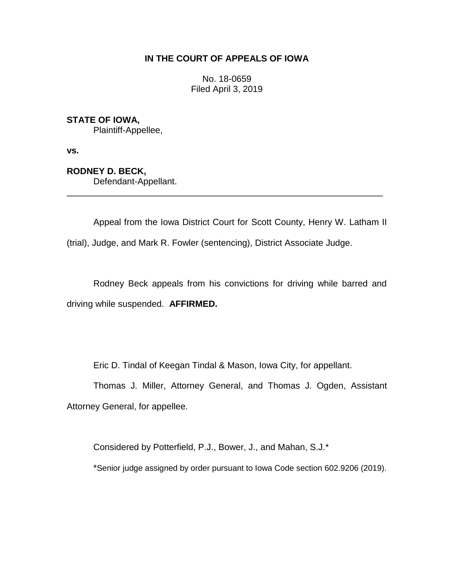## **IN THE COURT OF APPEALS OF IOWA**

No. 18-0659 Filed April 3, 2019

## **STATE OF IOWA,**

Plaintiff-Appellee,

**vs.**

# **RODNEY D. BECK,**

Defendant-Appellant.

Appeal from the Iowa District Court for Scott County, Henry W. Latham II (trial), Judge, and Mark R. Fowler (sentencing), District Associate Judge.

\_\_\_\_\_\_\_\_\_\_\_\_\_\_\_\_\_\_\_\_\_\_\_\_\_\_\_\_\_\_\_\_\_\_\_\_\_\_\_\_\_\_\_\_\_\_\_\_\_\_\_\_\_\_\_\_\_\_\_\_\_\_\_\_

Rodney Beck appeals from his convictions for driving while barred and driving while suspended. **AFFIRMED.**

Eric D. Tindal of Keegan Tindal & Mason, Iowa City, for appellant.

Thomas J. Miller, Attorney General, and Thomas J. Ogden, Assistant Attorney General, for appellee.

Considered by Potterfield, P.J., Bower, J., and Mahan, S.J.\*

\*Senior judge assigned by order pursuant to Iowa Code section 602.9206 (2019).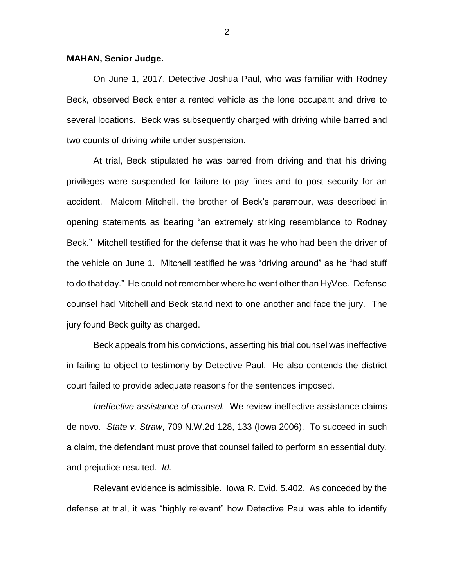#### **MAHAN, Senior Judge.**

On June 1, 2017, Detective Joshua Paul, who was familiar with Rodney Beck, observed Beck enter a rented vehicle as the lone occupant and drive to several locations. Beck was subsequently charged with driving while barred and two counts of driving while under suspension.

At trial, Beck stipulated he was barred from driving and that his driving privileges were suspended for failure to pay fines and to post security for an accident. Malcom Mitchell, the brother of Beck's paramour, was described in opening statements as bearing "an extremely striking resemblance to Rodney Beck." Mitchell testified for the defense that it was he who had been the driver of the vehicle on June 1. Mitchell testified he was "driving around" as he "had stuff to do that day." He could not remember where he went other than HyVee. Defense counsel had Mitchell and Beck stand next to one another and face the jury. The jury found Beck guilty as charged.

Beck appeals from his convictions, asserting his trial counsel was ineffective in failing to object to testimony by Detective Paul. He also contends the district court failed to provide adequate reasons for the sentences imposed.

*Ineffective assistance of counsel.* We review ineffective assistance claims de novo. *State v. Straw*, 709 N.W.2d 128, 133 (Iowa 2006). To succeed in such a claim, the defendant must prove that counsel failed to perform an essential duty, and prejudice resulted. *Id.* 

Relevant evidence is admissible. Iowa R. Evid. 5.402. As conceded by the defense at trial, it was "highly relevant" how Detective Paul was able to identify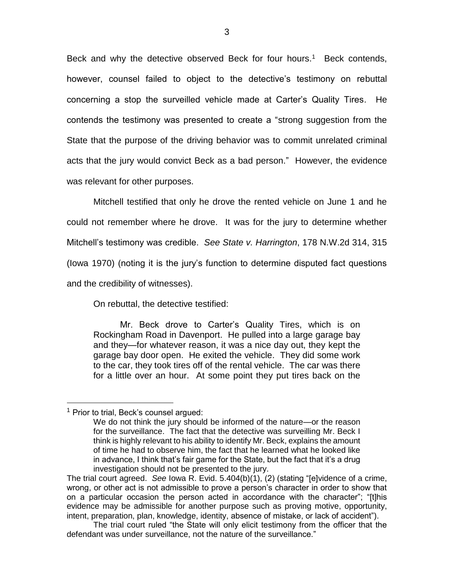Beck and why the detective observed Beck for four hours.<sup>1</sup> Beck contends, however, counsel failed to object to the detective's testimony on rebuttal concerning a stop the surveilled vehicle made at Carter's Quality Tires. He contends the testimony was presented to create a "strong suggestion from the State that the purpose of the driving behavior was to commit unrelated criminal acts that the jury would convict Beck as a bad person." However, the evidence was relevant for other purposes.

Mitchell testified that only he drove the rented vehicle on June 1 and he could not remember where he drove. It was for the jury to determine whether Mitchell's testimony was credible. *See State v. Harrington*, 178 N.W.2d 314, 315 (Iowa 1970) (noting it is the jury's function to determine disputed fact questions and the credibility of witnesses).

On rebuttal, the detective testified:

Mr. Beck drove to Carter's Quality Tires, which is on Rockingham Road in Davenport. He pulled into a large garage bay and they—for whatever reason, it was a nice day out, they kept the garage bay door open. He exited the vehicle. They did some work to the car, they took tires off of the rental vehicle. The car was there for a little over an hour. At some point they put tires back on the

 $\overline{a}$ 

<sup>&</sup>lt;sup>1</sup> Prior to trial, Beck's counsel argued:

We do not think the jury should be informed of the nature—or the reason for the surveillance. The fact that the detective was surveilling Mr. Beck I think is highly relevant to his ability to identify Mr. Beck, explains the amount of time he had to observe him, the fact that he learned what he looked like in advance, I think that's fair game for the State, but the fact that it's a drug investigation should not be presented to the jury.

The trial court agreed. *See* Iowa R. Evid. 5.404(b)(1), (2) (stating "[e]vidence of a crime, wrong, or other act is not admissible to prove a person's character in order to show that on a particular occasion the person acted in accordance with the character"; "[t]his evidence may be admissible for another purpose such as proving motive, opportunity, intent, preparation, plan, knowledge, identity, absence of mistake, or lack of accident").

The trial court ruled "the State will only elicit testimony from the officer that the defendant was under surveillance, not the nature of the surveillance."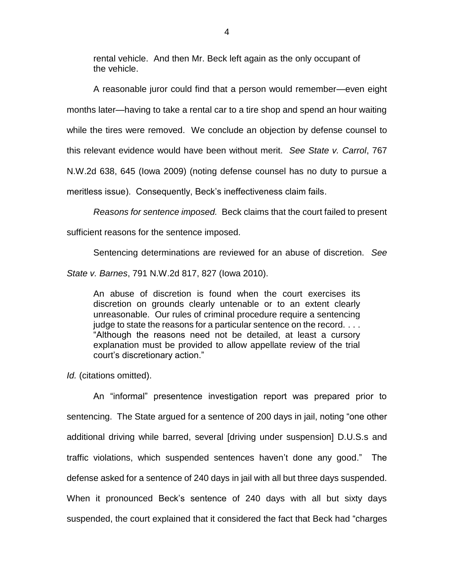rental vehicle. And then Mr. Beck left again as the only occupant of the vehicle.

A reasonable juror could find that a person would remember—even eight months later—having to take a rental car to a tire shop and spend an hour waiting while the tires were removed. We conclude an objection by defense counsel to this relevant evidence would have been without merit. *See State v. Carrol*, 767 N.W.2d 638, 645 (Iowa 2009) (noting defense counsel has no duty to pursue a meritless issue). Consequently, Beck's ineffectiveness claim fails.

*Reasons for sentence imposed.* Beck claims that the court failed to present sufficient reasons for the sentence imposed.

Sentencing determinations are reviewed for an abuse of discretion. *See*

*State v. Barnes*, 791 N.W.2d 817, 827 (Iowa 2010).

An abuse of discretion is found when the court exercises its discretion on grounds clearly untenable or to an extent clearly unreasonable. Our rules of criminal procedure require a sentencing judge to state the reasons for a particular sentence on the record. . . . "Although the reasons need not be detailed, at least a cursory explanation must be provided to allow appellate review of the trial court's discretionary action."

*Id.* (citations omitted).

An "informal" presentence investigation report was prepared prior to sentencing. The State argued for a sentence of 200 days in jail, noting "one other additional driving while barred, several [driving under suspension] D.U.S.s and traffic violations, which suspended sentences haven't done any good." The defense asked for a sentence of 240 days in jail with all but three days suspended. When it pronounced Beck's sentence of 240 days with all but sixty days suspended, the court explained that it considered the fact that Beck had "charges